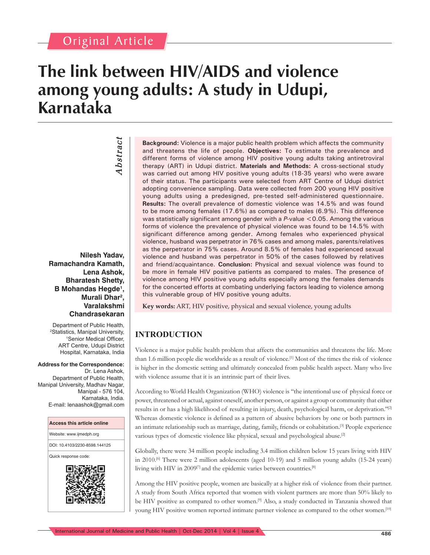## Original Article

*Abstract*

Abstract

# **The link between HIV/AIDS and violence among young adults: A study in Udupi, Karnataka**

**Nilesh Yadav, Ramachandra Kamath, Lena Ashok, Bharatesh Shetty, B Mohandas Hegde1 , Murali Dhar2 , Varalakshmi Chandrasekaran**

Department of Public Health, <sup>2</sup>Statistics, Manipal University,<br><sup>1</sup>Senior Medical Officer <sup>1</sup>Senior Medical Officer, ART Centre, Udupi District Hospital, Karnataka, India

**Address for the Correspondence:** Dr. Lena Ashok, Department of Public Health, Manipal University, Madhav Nagar, Manipal - 576 104, Karnataka, India. E-mail: lenaashok@gmail.com



**Background:** Violence is a major public health problem which affects the community and threatens the life of people. **Objectives:** To estimate the prevalence and different forms of violence among HIV positive young adults taking antiretroviral therapy (ART) in Udupi district. **Materials and Methods:** A cross-sectional study was carried out among HIV positive young adults (18-35 years) who were aware of their status. The participants were selected from ART Centre of Udupi district adopting convenience sampling. Data were collected from 200 young HIV positive young adults using a predesigned, pre-tested self-administered questionnaire. **Results:** The overall prevalence of domestic violence was 14.5% and was found to be more among females (17.6%) as compared to males (6.9%). This difference was statistically significant among gender with a  $P$ -value <0.05. Among the various forms of violence the prevalence of physical violence was found to be 14.5% with significant difference among gender. Among females who experienced physical violence, husband was perpetrator in 76% cases and among males, parents/relatives as the perpetrator in 75% cases. Around 8.5% of females had experienced sexual violence and husband was perpetrator in 50% of the cases followed by relatives and friend/acquaintance. **Conclusion:** Physical and sexual violence was found to be more in female HIV positive patients as compared to males. The presence of violence among HIV positive young adults especially among the females demands for the concerted efforts at combating underlying factors leading to violence among this vulnerable group of HIV positive young adults.

**Key words:** ART, HIV positive, physical and sexual violence, young adults

### **INTRODUCTION**

Violence is a major public health problem that affects the communities and threatens the life. More than 1.6 million people die worldwide as a result of violence.[1] Most of the times the risk of violence is higher in the domestic setting and ultimately concealed from public health aspect. Many who live with violence assume that it is an intrinsic part of their lives.

According to World Health Organization (WHO) violence is ''the intentional use of physical force or power, threatened or actual, against oneself, another person, or against a group or community that either results in or has a high likelihood of resulting in injury, death, psychological harm, or deprivation."<sup>[2]</sup> Whereas domestic violence is defined as a pattern of abusive behaviors by one or both partners in an intimate relationship such as marriage, dating, family, friends or cohabitation.[3] People experience various types of domestic violence like physical, sexual and psychological abuse.[2]

Globally, there were 34 million people including 3.4 million children below 15 years living with HIV in 2010.[6] There were 2 million adolescents (aged 10-19) and 5 million young adults (15-24 years) living with HIV in 2009<sup>[7]</sup> and the epidemic varies between countries.<sup>[8]</sup>

Among the HIV positive people, women are basically at a higher risk of violence from their partner. A study from South Africa reported that women with violent partners are more than 50% likely to be HIV positive as compared to other women.<sup>[9]</sup> Also, a study conducted in Tanzania showed that young HIV positive women reported intimate partner violence as compared to the other women.<sup>[10]</sup>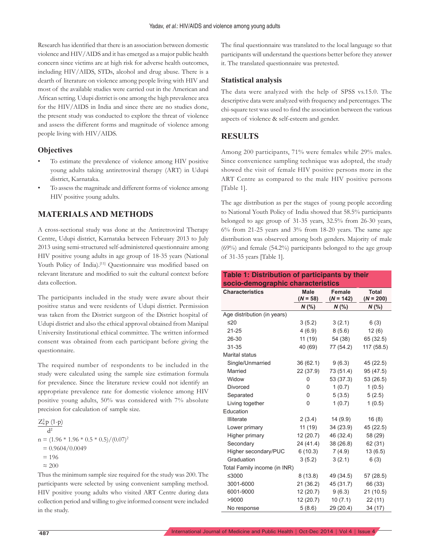Research has identified that there is an association between domestic violence and HIV/AIDS and it has emerged as a major public health concern since victims are at high risk for adverse health outcomes, including HIV/AIDS, STDs, alcohol and drug abuse. There is a dearth of literature on violence among people living with HIV and most of the available studies were carried out in the American and African setting. Udupi district is one among the high prevalence area for the HIV/AIDS in India and since there are no studies done, the present study was conducted to explore the threat of violence and assess the different forms and magnitude of violence among people living with HIV/AIDS.

#### **Objectives**

- To estimate the prevalence of violence among HIV positive young adults taking antiretroviral therapy (ART) in Udupi district, Karnataka.
- To assess the magnitude and different forms of violence among HIV positive young adults.

#### **MATERIALS AND METHODS**

A cross-sectional study was done at the Antiretroviral Therapy Centre, Udupi district, Karnataka between February 2013 to July 2013 using semi-structured self-administered questionnaire among HIV positive young adults in age group of 18-35 years (National Youth Policy of India).<sup>[11]</sup> Questionnaire was modified based on relevant literature and modified to suit the cultural context before data collection.

The participants included in the study were aware about their positive status and were residents of Udupi district. Permission was taken from the District surgeon of the District hospital of Udupi district and also the ethical approval obtained from Manipal University Institutional ethical committee. The written informed consent was obtained from each participant before giving the questionnaire.

The required number of respondents to be included in the study were calculated using the sample size estimation formula for prevalence. Since the literature review could not identify an appropriate prevalence rate for domestic violence among HIV positive young adults, 50% was considered with 7% absolute precision for calculation of sample size.

$$
\frac{Z_{\alpha}^{2} p (1-p)}{d^{2}}
$$
  
n = (1.96 \* 1.96 \* 0.5 \* 0.5)/(0.07)<sup>2</sup>  
= 0.9604/0.0049  
= 196  
~200

Thus the minimum sample size required for the study was 200. The participants were selected by using convenient sampling method. HIV positive young adults who visited ART Centre during data collection period and willing to give informed consent were included in the study.

The final questionnaire was translated to the local language so that participants will understand the questions better before they answer it. The translated questionnaire was pretested.

#### **Statistical analysis**

The data were analyzed with the help of SPSS vs.15.0. The descriptive data were analyzed with frequency and percentages. The chi-square test was used to find the association between the various aspects of violence & self-esteem and gender.

#### **RESULTS**

Among 200 participants, 71% were females while 29% males. Since convenience sampling technique was adopted, the study showed the visit of female HIV positive persons more in the ART Centre as compared to the male HIV positive persons [Table 1].

The age distribution as per the stages of young people according to National Youth Policy of India showed that 58.5% participants belonged to age group of 31-35 years, 32.5% from 26-30 years,  $6\%$  from 21-25 years and  $3\%$  from 18-20 years. The same age distribution was observed among both genders. Majority of male (69%) and female (54.2%) participants belonged to the age group of 31-35 years [Table 1].

| Table 1: Distribution of participants by their |             |             |              |  |
|------------------------------------------------|-------------|-------------|--------------|--|
| socio-demographic characteristics              |             |             |              |  |
| <b>Characteristics</b>                         | <b>Male</b> | Female      | <b>Total</b> |  |
|                                                | $(N = 58)$  | $(N = 142)$ | $(N = 200)$  |  |
|                                                | $N$ (%)     | $N$ (%)     | N (%)        |  |
| Age distribution (in years)                    |             |             |              |  |
| ≤20                                            | 3(5.2)      | 3(2.1)      | 6(3)         |  |
| $21 - 25$                                      | 4(6.9)      | 8(5.6)      | 12 (6)       |  |
| 26-30                                          | 11 (19)     | 54 (38)     | 65 (32.5)    |  |
| $31 - 35$                                      | 40 (69)     | 77 (54.2)   | 117 (58.5)   |  |
| <b>Marital status</b>                          |             |             |              |  |
| Single/Unmarried                               | 36(62.1)    | 9(6.3)      | 45 (22.5)    |  |
| Married                                        | 22 (37.9)   | 73 (51.4)   | 95 (47.5)    |  |
| Widow                                          | 0           | 53 (37.3)   | 53 (26.5)    |  |
| Divorced                                       | 0           | 1(0.7)      | 1(0.5)       |  |
| Separated                                      | 0           | 5(3.5)      | 5(2.5)       |  |
| Living together                                | 0           | 1(0.7)      | 1(0.5)       |  |
| Education                                      |             |             |              |  |
| <b>Illiterate</b>                              | 2(3.4)      | 14(9.9)     | 16(8)        |  |
| Lower primary                                  | 11 (19)     | 34(23.9)    | 45 (22.5)    |  |
| Higher primary                                 | 12(20.7)    | 46 (32.4)   | 58 (29)      |  |
| Secondary                                      | 24 (41.4)   | 38 (26.8)   | 62 (31)      |  |
| Higher secondary/PUC                           | 6(10.3)     | 7(4.9)      | 13(6.5)      |  |
| Graduation                                     | 3(5.2)      | 3(2.1)      | 6(3)         |  |
| Total Family income (in INR)                   |             |             |              |  |
| ≤3000                                          | 8(13.8)     | 49 (34.5)   | 57 (28.5)    |  |
| 3001-6000                                      | 21(36.2)    | 45 (31.7)   | 66 (33)      |  |
| 6001-9000                                      | 12 (20.7)   | 9(6.3)      | 21 (10.5)    |  |
| >9000                                          | 12 (20.7)   | 10(7.1)     | 22(11)       |  |
| No response                                    | 5(8.6)      | 29 (20.4)   | 34 (17)      |  |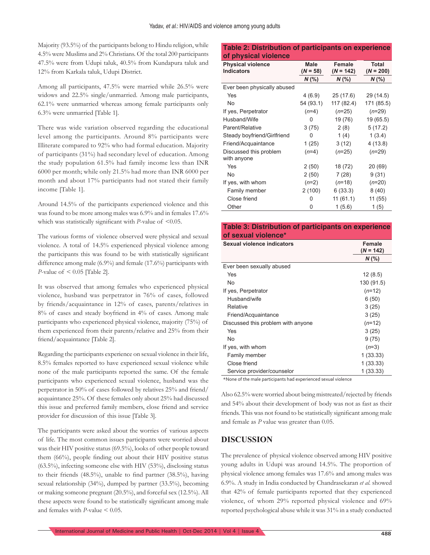Majority (93.5%) of the participants belong to Hindu religion, while 4.5% were Muslims and 2% Christians. Of the total 200 participants 47.5% were from Udupi taluk, 40.5% from Kundapura taluk and 12% from Karkala taluk, Udupi District.

Among all participants, 47.5% were married while 26.5% were widows and 22.5% single/unmarried. Among male participants, 62.1% were unmarried whereas among female participants only 6.3% were unmarried [Table 1].

There was wide variation observed regarding the educational level among the participants. Around 8% participants were Illiterate compared to 92% who had formal education. Majority of participants (31%) had secondary level of education. Among the study population 61.5% had family income less than INR 6000 per month; while only 21.5% had more than INR 6000 per month and about 17% participants had not stated their family income [Table 1].

Around 14.5% of the participants experienced violence and this was found to be more among males was 6.9% and in females 17.6% which was statistically significant with *P*-value of  $\leq 0.05$ .

The various forms of violence observed were physical and sexual violence. A total of 14.5% experienced physical violence among the participants this was found to be with statistically significant difference among male (6.9%) and female (17.6%) participants with *P*-value of < 0.05 [Table 2].

It was observed that among females who experienced physical violence, husband was perpetrator in 76% of cases, followed by friends/acquaintance in 12% of cases, parents/relatives in 8% of cases and steady boyfriend in 4% of cases. Among male participants who experienced physical violence, majority (75%) of them experienced from their parents/relative and 25% from their friend/acquaintance [Table 2].

Regarding the participants experience on sexual violence in their life, 8.5% females reported to have experienced sexual violence while none of the male participants reported the same. Of the female participants who experienced sexual violence, husband was the perpetrator in 50% of cases followed by relatives 25% and friend/ acquaintance 25%. Of these females only about 25% had discussed this issue and preferred family members, close friend and service provider for discussion of this issue [Table 3].

The participants were asked about the worries of various aspects of life. The most common issues participants were worried about was their HIV positive status (69.5%), looks of other people toward them  $(66%)$ , people finding out about their HIV positive status (63.5%), infecting someone else with HIV (53%), disclosing status to their friends  $(48.5\%)$ , unable to find partner  $(38.5\%)$ , having sexual relationship (34%), dumped by partner (33.5%), becoming or making someone pregnant (20.5%), and forceful sex (12.5%). All these aspects were found to be statistically significant among male and females with *P*-value < 0.05.

#### **Table 2: Distribution of participants on experience of physical violence**

| <b>Physical violence</b><br><b>Indicators</b> | <b>Male</b><br>$(N = 58)$ | <b>Female</b><br>$(N = 142)$ | Total<br>$(N = 200)$ |
|-----------------------------------------------|---------------------------|------------------------------|----------------------|
|                                               | $N$ (%)                   | $N$ (%)                      | $N$ (%)              |
| Ever been physically abused                   |                           |                              |                      |
| Yes                                           | 4(6.9)                    | 25 (17.6)                    | 29 (14.5)            |
| <b>No</b>                                     | 54 (93.1)                 | 117 (82.4)                   | 171 (85.5)           |
| If yes, Perpetrator                           | $(n=4)$                   | $(n=25)$                     | $(n=29)$             |
| Husband/Wife                                  | 0                         | 19 (76)                      | 19 (65.5)            |
| Parent/Relative                               | 3(75)                     | 2(8)                         | 5(17.2)              |
| Steady boyfriend/Girlfriend                   | 0                         | 1(4)                         | 1(3.4)               |
| Friend/Acquaintance                           | 1(25)                     | 3(12)                        | 4(13.8)              |
| Discussed this problem                        | $(n=4)$                   | $(n=25)$                     | $(n=29)$             |
| with anyone                                   |                           |                              |                      |
| Yes                                           | 2(50)                     | 18 (72)                      | 20 (69)              |
| <b>No</b>                                     | 2(50)                     | 7(28)                        | 9(31)                |
| If yes, with whom                             | $(n=2)$                   | $(n=18)$                     | $(n=20)$             |
| Family member                                 | 2(100)                    | 6(33.3)                      | 8(40)                |
| Close friend                                  | 0                         | 11(61.1)                     | 11 (55)              |
| Other                                         | 0                         | 1(5.6)                       | 1(5)                 |

#### **Table 3: Distribution of participants on experience of sexual violence\***

| Sexual violence indicators         | <b>Female</b><br>$(N = 142)$ |
|------------------------------------|------------------------------|
|                                    | $N$ (%)                      |
| Ever been sexually abused          |                              |
| Yes                                | 12(8.5)                      |
| No                                 | 130 (91.5)                   |
| If yes, Perpetrator                | $(n=12)$                     |
| Husband/wife                       | 6(50)                        |
| Relative                           | 3(25)                        |
| Friend/Acquaintance                | 3(25)                        |
| Discussed this problem with anyone | $(n=12)$                     |
| Yes                                | 3(25)                        |
| No                                 | 9(75)                        |
| If yes, with whom                  | $(n=3)$                      |
| Family member                      | 1(33.33)                     |
| Close friend                       | 1 (33.33)                    |
| Service provider/counselor         | 1 (33.33)                    |

\*None of the male participants had experienced sexual violence

Also 62.5% were worried about being mistreated/rejected by friends and 54% about their development of body was not as fast as their friends. This was not found to be statistically significant among male and female as *P* value was greater than 0.05.

#### **DISCUSSION**

The prevalence of physical violence observed among HIV positive young adults in Udupi was around 14.5%. The proportion of physical violence among females was 17.6% and among males was 6.9%. A study in India conducted by Chandrasekaran *et al.* showed that 42% of female participants reported that they experienced violence, of whom 29% reported physical violence and 69% reported psychological abuse while it was 31% in a study conducted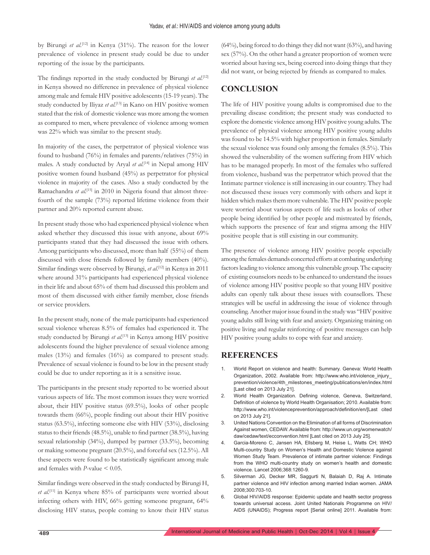by Birungi *et al.*<sup>[12]</sup> in Kenya (31%). The reason for the lower prevalence of violence in present study could be due to under reporting of the issue by the participants.

The findings reported in the study conducted by Birungi *et al.*<sup>[12]</sup> in Kenya showed no difference in prevalence of physical violence among male and female HIV positive adolescents (15-19 years). The study conducted by Iliyaz et al.<sup>[13]</sup> in Kano on HIV positive women stated that the risk of domestic violence was more among the women as compared to men, where prevalence of violence among women was 22% which was similar to the present study.

In majority of the cases, the perpetrator of physical violence was found to husband (76%) in females and parents/relatives (75%) in males. A study conducted by Aryal *et al.*<sup>[14]</sup> in Nepal among HIV positive women found husband (45%) as perpetrator for physical violence in majority of the cases. Also a study conducted by the Ramachandra et al.<sup>[15]</sup> in 2010 in Nigeria found that almost threefourth of the sample (73%) reported lifetime violence from their partner and 20% reported current abuse.

In present study those who had experienced physical violence when asked whether they discussed this issue with anyone, about 69% participants stated that they had discussed the issue with others. Among participants who discussed, more than half (55%) of them discussed with close friends followed by family members (40%). Similar findings were observed by Birungi, et al.<sup>[12]</sup> in Kenya in 2011 where around 31% participants had experienced physical violence in their life and about 65% of them had discussed this problem and most of them discussed with either family member, close friends or service providers.

In the present study, none of the male participants had experienced sexual violence whereas 8.5% of females had experienced it. The study conducted by Birungi *et al.*[13] in Kenya among HIV positive adolescents found the higher prevalence of sexual violence among males (13%) and females (16%) as compared to present study. Prevalence of sexual violence is found to be low in the present study could be due to under reporting as it is a sensitive issue.

The participants in the present study reported to be worried about various aspects of life. The most common issues they were worried about, their HIV positive status (69.5%), looks of other people towards them (66%), people finding out about their HIV positive status (63.5%), infecting someone else with HIV (53%), disclosing status to their friends  $(48.5\%)$ , unable to find partner  $(38.5\%)$ , having sexual relationship (34%), dumped by partner (33.5%), becoming or making someone pregnant (20.5%), and forceful sex (12.5%). All these aspects were found to be statistically significant among male and females with *P*-value < 0.05.

Similar findings were observed in the study conducted by Birungi H, *et al.*[11] in Kenya where 85% of participants were worried about infecting others with HIV, 66% getting someone pregnant, 64% disclosing HIV status, people coming to know their HIV status (64%), being forced to do things they did not want (63%), and having sex (57%). On the other hand a greater proportion of women were worried about having sex, being coerced into doing things that they did not want, or being rejected by friends as compared to males.

#### **CONCLUSION**

The life of HIV positive young adults is compromised due to the prevailing disease condition; the present study was conducted to explore the domestic violence among HIV positive young adults. The prevalence of physical violence among HIV positive young adults was found to be 14.5% with higher proportion in females. Similarly the sexual violence was found only among the females (8.5%). This showed the vulnerability of the women suffering from HIV which has to be managed properly. In most of the females who suffered from violence, husband was the perpetrator which proved that the Intimate partner violence is still increasing in our country. They had not discussed these issues very commonly with others and kept it hidden which makes them more vulnerable. The HIV positive people were worried about various aspects of life such as looks of other people being identified by other people and mistreated by friends, which supports the presence of fear and stigma among the HIV positive people that is still existing in our community.

The presence of violence among HIV positive people especially among the females demands concerted efforts at combating underlying factors leading to violence among this vulnerable group. The capacity of existing counselors needs to be enhanced to understand the issues of violence among HIV positive people so that young HIV positive adults can openly talk about these issues with counsellors. These strategies will be useful in addressing the issue of violence through counseling. Another major issue found in the study was "HIV positive young adults still living with fear and anxiety. Organizing training on positive living and regular reinforcing of positive messages can help HIV positive young adults to cope with fear and anxiety.

#### **REFERENCES**

- 1. World Report on violence and health: Summary. Geneva: World Health Organization, 2002. Available from: http://www.who.int/violence\_injury\_ prevention/violence/4th\_milestones\_meeting/publications/en/index.html [Last cited on 2013 July 21].
- 2. World Health Organization. Defining violence, Geneva, Switzerland, Definition of violence by World Health Organisation; 2010. Available from: http://www.who.int/violenceprevention/approach/definition/en/[Last cited on 2013 July 21].
- 3. United Nations Convention on the Elimination of all forms of Discrimination Against women, CEDAW. Available from: http://www.un.org/womenwatch/ daw/cedaw/text/ecconvention.html [Last cited on 2013 July 25].
- 4. Garcia-Moreno C, Jansen HA, Ellsberg M, Heise L, Watts CH; WHO Multi-country Study on Women's Health and Domestic Violence against Women Study Team. Prevalence of intimate partner violence: Findings from the WHO multi-country study on women's health and domestic violence. Lancet 2006;368:1260-9.
- 5. Silverman JG, Decker MR, Saggurti N, Balaiah D, Raj A. Intimate partner violence and HIV infection among married Indian women. JAMA 2008;300:703-10.
- 6. Global HIV/AIDS response: Epidemic update and health sector progress towards universal access. Joint United Nationals Programme on HIV/ AIDS (UNAIDS); Progress report [Serial online] 2011. Available from: